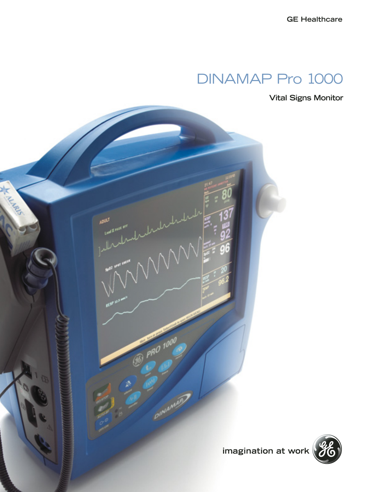## DINAMAP Pro 1000

**Vital Signs Monitor**

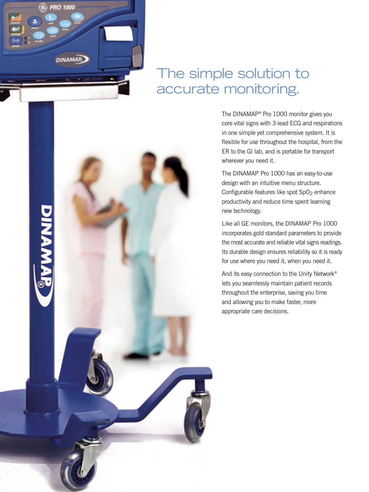

## The simple solution to accurate monitoring.

The DINAMAP® Pro 1000 monitor gives you core vital signs with 3-lead ECG and respirations in one simple yet comprehensive system. It is flexible for use throughout the hospital, from the ER to the GI lab, and is portable for transport wherever you need it.

The DINAMAP Pro 1000 has an easy-to-use design with an intuitive menu structure. Configurable features like spot SpO<sub>2</sub> enhance productivity and reduce time spent learning new technology.

Like all GE monitors, the DINAMAP Pro 1000 incorporates gold standard parameters to provide the most accurate and reliable vital signs readings. Its durable design ensures reliability so it is ready for use where you need it, when you need it.

And its easy connection to the Unity Network® lets you seamlessly maintain patient records throughout the enterprise, saving you time and allowing you to make faster, more appropriate care decisions.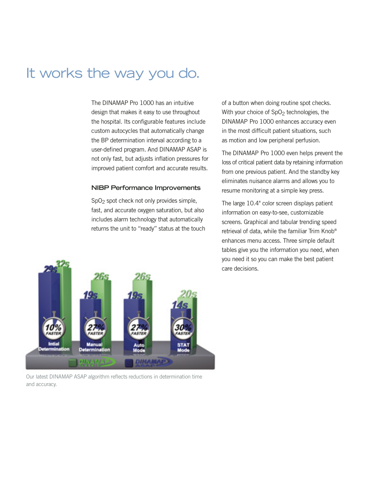## It works the way you do.

The DINAMAP Pro 1000 has an intuitive design that makes it easy to use throughout the hospital. Its configurable features include custom autocycles that automatically change the BP determination interval according to a user-defined program. And DINAMAP ASAP is not only fast, but adjusts inflation pressures for improved patient comfort and accurate results.

#### **NIBP Performance Improvements**

SpO2 spot check not only provides simple, fast, and accurate oxygen saturation, but also includes alarm technology that automatically returns the unit to "ready" status at the touch



Our latest DINAMAP ASAP algorithm reflects reductions in determination time and accuracy.

of a button when doing routine spot checks. With your choice of SpO<sub>2</sub> technologies, the DINAMAP Pro 1000 enhances accuracy even in the most difficult patient situations, such as motion and low peripheral perfusion.

The DINAMAP Pro 1000 even helps prevent the loss of critical patient data by retaining information from one previous patient. And the standby key eliminates nuisance alarms and allows you to resume monitoring at a simple key press.

The large 10.4" color screen displays patient information on easy-to-see, customizable screens. Graphical and tabular trending speed retrieval of data, while the familiar Trim Knob® enhances menu access. Three simple default tables give you the information you need, when you need it so you can make the best patient care decisions.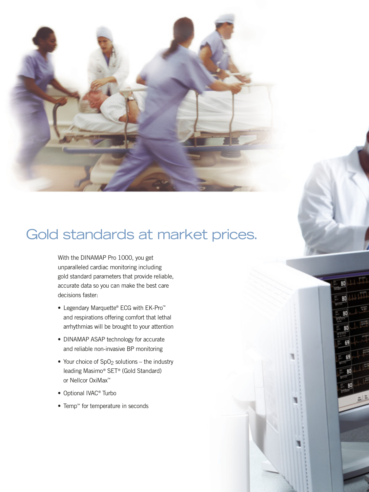

# Gold standards at market prices.

With the DINAMAP Pro 1000, you get unparalleled cardiac monitoring including gold standard parameters that provide reliable, accurate data so you can make the best care decisions faster:

- Legendary Marquette® ECG with EK-Pro™ and respirations offering comfort that lethal arrhythmias will be brought to your attention
- DINAMAP ASAP technology for accurate and reliable non-invasive BP monitoring
- Your choice of  $SpO<sub>2</sub>$  solutions the industry leading Masimo® SET® (Gold Standard) or Nellcor OxiMax™
- Optional IVAC® Turbo
- Temp™ for temperature in seconds

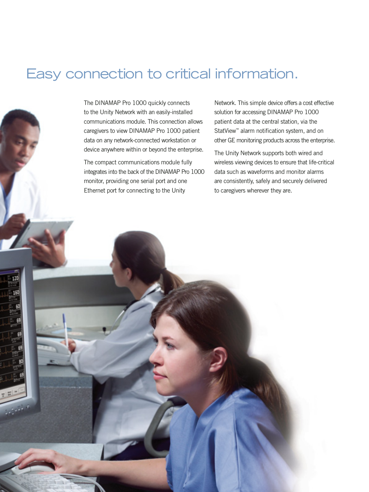## Easy connection to critical information.

The DINAMAP Pro 1000 quickly connects to the Unity Network with an easily-installed communications module. This connection allows caregivers to view DINAMAP Pro 1000 patient data on any network-connected workstation or device anywhere within or beyond the enterprise.

The compact communications module fully integrates into the back of the DINAMAP Pro 1000 monitor, providing one serial port and one Ethernet port for connecting to the Unity

Network. This simple device offers a cost effective solution for accessing DINAMAP Pro 1000 patient data at the central station, via the StatView™ alarm notification system, and on other GE monitoring products across the enterprise.

The Unity Network supports both wired and wireless viewing devices to ensure that life-critical data such as waveforms and monitor alarms are consistently, safely and securely delivered to caregivers wherever they are.